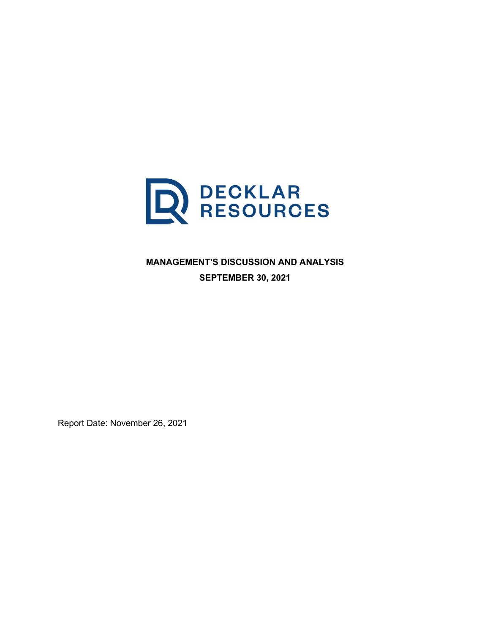

**MANAGEMENT'S DISCUSSION AND ANALYSIS SEPTEMBER 30, 2021**

Report Date: November 26, 2021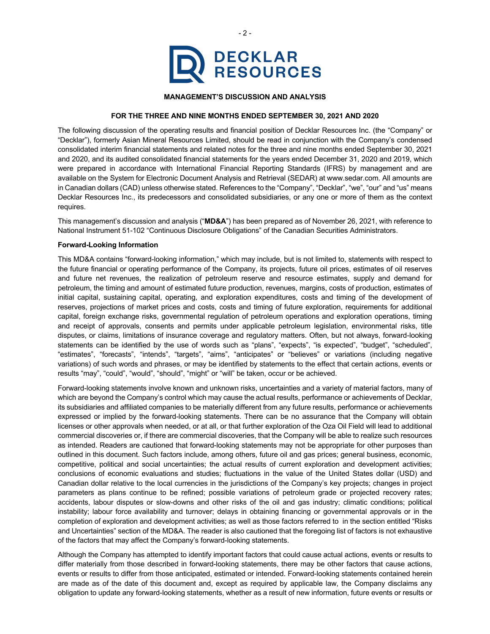

# **MANAGEMENT'S DISCUSSION AND ANALYSIS**

#### **FOR THE THREE AND NINE MONTHS ENDED SEPTEMBER 30, 2021 AND 2020**

The following discussion of the operating results and financial position of Decklar Resources Inc. (the "Company" or "Decklar"), formerly Asian Mineral Resources Limited, should be read in conjunction with the Company's condensed consolidated interim financial statements and related notes for the three and nine months ended September 30, 2021 and 2020, and its audited consolidated financial statements for the years ended December 31, 2020 and 2019, which were prepared in accordance with International Financial Reporting Standards (IFRS) by management and are available on the System for Electronic Document Analysis and Retrieval (SEDAR) at www.sedar.com. All amounts are in Canadian dollars (CAD) unless otherwise stated. References to the "Company", "Decklar", "we", "our" and "us" means Decklar Resources Inc., its predecessors and consolidated subsidiaries, or any one or more of them as the context requires.

This management's discussion and analysis ("**MD&A**") has been prepared as of November 26, 2021, with reference to National Instrument 51-102 "Continuous Disclosure Obligations" of the Canadian Securities Administrators.

### **Forward-Looking Information**

This MD&A contains "forward-looking information," which may include, but is not limited to, statements with respect to the future financial or operating performance of the Company, its projects, future oil prices, estimates of oil reserves and future net revenues, the realization of petroleum reserve and resource estimates, supply and demand for petroleum, the timing and amount of estimated future production, revenues, margins, costs of production, estimates of initial capital, sustaining capital, operating, and exploration expenditures, costs and timing of the development of reserves, projections of market prices and costs, costs and timing of future exploration, requirements for additional capital, foreign exchange risks, governmental regulation of petroleum operations and exploration operations, timing and receipt of approvals, consents and permits under applicable petroleum legislation, environmental risks, title disputes, or claims, limitations of insurance coverage and regulatory matters. Often, but not always, forward-looking statements can be identified by the use of words such as "plans", "expects", "is expected", "budget", "scheduled", "estimates", "forecasts", "intends", "targets", "aims", "anticipates" or "believes" or variations (including negative variations) of such words and phrases, or may be identified by statements to the effect that certain actions, events or results "may", "could", "would", "should", "might" or "will" be taken, occur or be achieved.

Forward-looking statements involve known and unknown risks, uncertainties and a variety of material factors, many of which are beyond the Company's control which may cause the actual results, performance or achievements of Decklar, its subsidiaries and affiliated companies to be materially different from any future results, performance or achievements expressed or implied by the forward-looking statements. There can be no assurance that the Company will obtain licenses or other approvals when needed, or at all, or that further exploration of the Oza Oil Field will lead to additional commercial discoveries or, if there are commercial discoveries, that the Company will be able to realize such resources as intended. Readers are cautioned that forward-looking statements may not be appropriate for other purposes than outlined in this document. Such factors include, among others, future oil and gas prices; general business, economic, competitive, political and social uncertainties; the actual results of current exploration and development activities; conclusions of economic evaluations and studies; fluctuations in the value of the United States dollar (USD) and Canadian dollar relative to the local currencies in the jurisdictions of the Company's key projects; changes in project parameters as plans continue to be refined; possible variations of petroleum grade or projected recovery rates; accidents, labour disputes or slow-downs and other risks of the oil and gas industry; climatic conditions; political instability; labour force availability and turnover; delays in obtaining financing or governmental approvals or in the completion of exploration and development activities; as well as those factors referred to in the section entitled "Risks and Uncertainties" section of the MD&A. The reader is also cautioned that the foregoing list of factors is not exhaustive of the factors that may affect the Company's forward-looking statements.

Although the Company has attempted to identify important factors that could cause actual actions, events or results to differ materially from those described in forward-looking statements, there may be other factors that cause actions, events or results to differ from those anticipated, estimated or intended. Forward-looking statements contained herein are made as of the date of this document and, except as required by applicable law, the Company disclaims any obligation to update any forward-looking statements, whether as a result of new information, future events or results or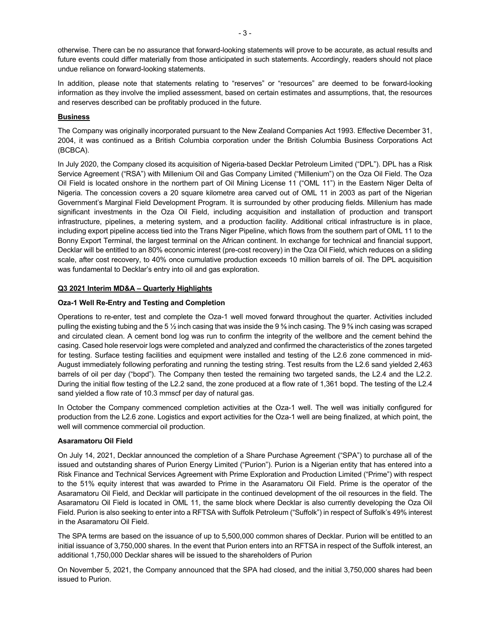otherwise. There can be no assurance that forward-looking statements will prove to be accurate, as actual results and future events could differ materially from those anticipated in such statements. Accordingly, readers should not place undue reliance on forward-looking statements.

In addition, please note that statements relating to "reserves" or "resources" are deemed to be forward-looking information as they involve the implied assessment, based on certain estimates and assumptions, that, the resources and reserves described can be profitably produced in the future.

# **Business**

The Company was originally incorporated pursuant to the New Zealand Companies Act 1993. Effective December 31, 2004, it was continued as a British Columbia corporation under the British Columbia Business Corporations Act (BCBCA).

In July 2020, the Company closed its acquisition of Nigeria-based Decklar Petroleum Limited ("DPL"). DPL has a Risk Service Agreement ("RSA") with Millenium Oil and Gas Company Limited ("Millenium") on the Oza Oil Field. The Oza Oil Field is located onshore in the northern part of Oil Mining License 11 ("OML 11") in the Eastern Niger Delta of Nigeria. The concession covers a 20 square kilometre area carved out of OML 11 in 2003 as part of the Nigerian Government's Marginal Field Development Program. It is surrounded by other producing fields. Millenium has made significant investments in the Oza Oil Field, including acquisition and installation of production and transport infrastructure, pipelines, a metering system, and a production facility. Additional critical infrastructure is in place, including export pipeline access tied into the Trans Niger Pipeline, which flows from the southern part of OML 11 to the Bonny Export Terminal, the largest terminal on the African continent. In exchange for technical and financial support, Decklar will be entitled to an 80% economic interest (pre-cost recovery) in the Oza Oil Field, which reduces on a sliding scale, after cost recovery, to 40% once cumulative production exceeds 10 million barrels of oil. The DPL acquisition was fundamental to Decklar's entry into oil and gas exploration.

# **Q3 2021 Interim MD&A – Quarterly Highlights**

# **Oza-1 Well Re-Entry and Testing and Completion**

Operations to re-enter, test and complete the Oza-1 well moved forward throughout the quarter. Activities included pulling the existing tubing and the 5 ½ inch casing that was inside the 9 ⅝ inch casing. The 9 ⅝ inch casing was scraped and circulated clean. A cement bond log was run to confirm the integrity of the wellbore and the cement behind the casing. Cased hole reservoir logs were completed and analyzed and confirmed the characteristics of the zones targeted for testing. Surface testing facilities and equipment were installed and testing of the L2.6 zone commenced in mid-August immediately following perforating and running the testing string. Test results from the L2.6 sand yielded 2,463 barrels of oil per day ("bopd"). The Company then tested the remaining two targeted sands, the L2.4 and the L2.2. During the initial flow testing of the L2.2 sand, the zone produced at a flow rate of 1,361 bopd. The testing of the L2.4 sand yielded a flow rate of 10.3 mmscf per day of natural gas.

In October the Company commenced completion activities at the Oza-1 well. The well was initially configured for production from the L2.6 zone. Logistics and export activities for the Oza-1 well are being finalized, at which point, the well will commence commercial oil production.

# **Asaramatoru Oil Field**

On July 14, 2021, Decklar announced the completion of a Share Purchase Agreement ("SPA") to purchase all of the issued and outstanding shares of Purion Energy Limited ("Purion"). Purion is a Nigerian entity that has entered into a Risk Finance and Technical Services Agreement with Prime Exploration and Production Limited ("Prime") with respect to the 51% equity interest that was awarded to Prime in the Asaramatoru Oil Field. Prime is the operator of the Asaramatoru Oil Field, and Decklar will participate in the continued development of the oil resources in the field. The Asaramatoru Oil Field is located in OML 11, the same block where Decklar is also currently developing the Oza Oil Field. Purion is also seeking to enter into a RFTSA with Suffolk Petroleum ("Suffolk") in respect of Suffolk's 49% interest in the Asaramatoru Oil Field.

The SPA terms are based on the issuance of up to 5,500,000 common shares of Decklar. Purion will be entitled to an initial issuance of 3,750,000 shares. In the event that Purion enters into an RFTSA in respect of the Suffolk interest, an additional 1,750,000 Decklar shares will be issued to the shareholders of Purion

On November 5, 2021, the Company announced that the SPA had closed, and the initial 3,750,000 shares had been issued to Purion.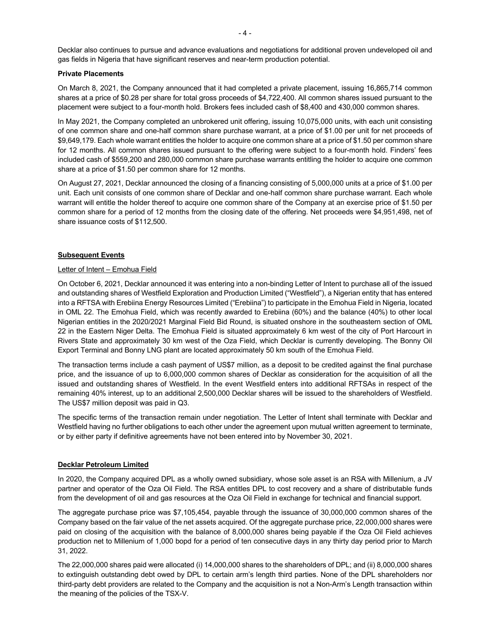Decklar also continues to pursue and advance evaluations and negotiations for additional proven undeveloped oil and gas fields in Nigeria that have significant reserves and near-term production potential.

#### **Private Placements**

On March 8, 2021, the Company announced that it had completed a private placement, issuing 16,865,714 common shares at a price of \$0.28 per share for total gross proceeds of \$4,722,400. All common shares issued pursuant to the placement were subject to a four-month hold. Brokers fees included cash of \$8,400 and 430,000 common shares.

In May 2021, the Company completed an unbrokered unit offering, issuing 10,075,000 units, with each unit consisting of one common share and one-half common share purchase warrant, at a price of \$1.00 per unit for net proceeds of \$9,649,179. Each whole warrant entitles the holder to acquire one common share at a price of \$1.50 per common share for 12 months. All common shares issued pursuant to the offering were subject to a four-month hold. Finders' fees included cash of \$559,200 and 280,000 common share purchase warrants entitling the holder to acquire one common share at a price of \$1.50 per common share for 12 months.

On August 27, 2021, Decklar announced the closing of a financing consisting of 5,000,000 units at a price of \$1.00 per unit. Each unit consists of one common share of Decklar and one-half common share purchase warrant. Each whole warrant will entitle the holder thereof to acquire one common share of the Company at an exercise price of \$1.50 per common share for a period of 12 months from the closing date of the offering. Net proceeds were \$4,951,498, net of share issuance costs of \$112,500.

# **Subsequent Events**

# Letter of Intent – Emohua Field

On October 6, 2021, Decklar announced it was entering into a non-binding Letter of Intent to purchase all of the issued and outstanding shares of Westfield Exploration and Production Limited ("Westfield"), a Nigerian entity that has entered into a RFTSA with Erebiina Energy Resources Limited ("Erebiina") to participate in the Emohua Field in Nigeria, located in OML 22. The Emohua Field, which was recently awarded to Erebiina (60%) and the balance (40%) to other local Nigerian entities in the 2020/2021 Marginal Field Bid Round, is situated onshore in the southeastern section of OML 22 in the Eastern Niger Delta. The Emohua Field is situated approximately 6 km west of the city of Port Harcourt in Rivers State and approximately 30 km west of the Oza Field, which Decklar is currently developing. The Bonny Oil Export Terminal and Bonny LNG plant are located approximately 50 km south of the Emohua Field.

The transaction terms include a cash payment of US\$7 million, as a deposit to be credited against the final purchase price, and the issuance of up to 6,000,000 common shares of Decklar as consideration for the acquisition of all the issued and outstanding shares of Westfield. In the event Westfield enters into additional RFTSAs in respect of the remaining 40% interest, up to an additional 2,500,000 Decklar shares will be issued to the shareholders of Westfield. The US\$7 million deposit was paid in Q3.

The specific terms of the transaction remain under negotiation. The Letter of Intent shall terminate with Decklar and Westfield having no further obligations to each other under the agreement upon mutual written agreement to terminate, or by either party if definitive agreements have not been entered into by November 30, 2021.

# **Decklar Petroleum Limited**

In 2020, the Company acquired DPL as a wholly owned subsidiary, whose sole asset is an RSA with Millenium, a JV partner and operator of the Oza Oil Field. The RSA entitles DPL to cost recovery and a share of distributable funds from the development of oil and gas resources at the Oza Oil Field in exchange for technical and financial support.

The aggregate purchase price was \$7,105,454, payable through the issuance of 30,000,000 common shares of the Company based on the fair value of the net assets acquired. Of the aggregate purchase price, 22,000,000 shares were paid on closing of the acquisition with the balance of 8,000,000 shares being payable if the Oza Oil Field achieves production net to Millenium of 1,000 bopd for a period of ten consecutive days in any thirty day period prior to March 31, 2022.

The 22,000,000 shares paid were allocated (i) 14,000,000 shares to the shareholders of DPL; and (ii) 8,000,000 shares to extinguish outstanding debt owed by DPL to certain arm's length third parties. None of the DPL shareholders nor third-party debt providers are related to the Company and the acquisition is not a Non-Arm's Length transaction within the meaning of the policies of the TSX-V.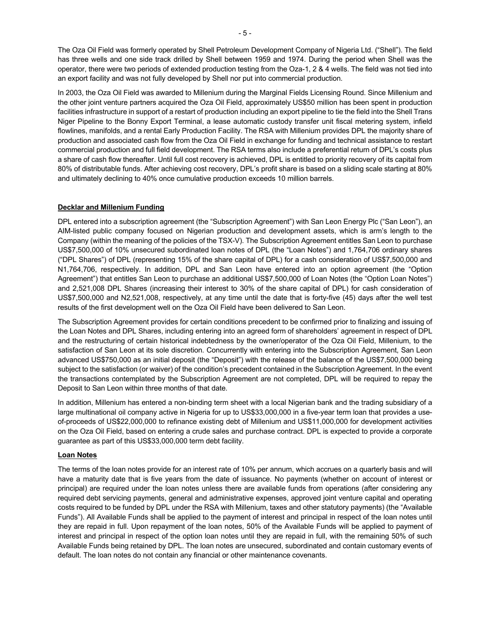The Oza Oil Field was formerly operated by Shell Petroleum Development Company of Nigeria Ltd. ("Shell"). The field has three wells and one side track drilled by Shell between 1959 and 1974. During the period when Shell was the operator, there were two periods of extended production testing from the Oza-1, 2 & 4 wells. The field was not tied into an export facility and was not fully developed by Shell nor put into commercial production.

In 2003, the Oza Oil Field was awarded to Millenium during the Marginal Fields Licensing Round. Since Millenium and the other joint venture partners acquired the Oza Oil Field, approximately US\$50 million has been spent in production facilities infrastructure in support of a restart of production including an export pipeline to tie the field into the Shell Trans Niger Pipeline to the Bonny Export Terminal, a lease automatic custody transfer unit fiscal metering system, infield flowlines, manifolds, and a rental Early Production Facility. The RSA with Millenium provides DPL the majority share of production and associated cash flow from the Oza Oil Field in exchange for funding and technical assistance to restart commercial production and full field development. The RSA terms also include a preferential return of DPL's costs plus a share of cash flow thereafter. Until full cost recovery is achieved, DPL is entitled to priority recovery of its capital from 80% of distributable funds. After achieving cost recovery, DPL's profit share is based on a sliding scale starting at 80% and ultimately declining to 40% once cumulative production exceeds 10 million barrels.

# **Decklar and Millenium Funding**

DPL entered into a subscription agreement (the "Subscription Agreement") with San Leon Energy Plc ("San Leon"), an AIM-listed public company focused on Nigerian production and development assets, which is arm's length to the Company (within the meaning of the policies of the TSX-V). The Subscription Agreement entitles San Leon to purchase US\$7,500,000 of 10% unsecured subordinated loan notes of DPL (the "Loan Notes") and 1,764,706 ordinary shares ("DPL Shares") of DPL (representing 15% of the share capital of DPL) for a cash consideration of US\$7,500,000 and N1,764,706, respectively. In addition, DPL and San Leon have entered into an option agreement (the "Option Agreement") that entitles San Leon to purchase an additional US\$7,500,000 of Loan Notes (the "Option Loan Notes") and 2,521,008 DPL Shares (increasing their interest to 30% of the share capital of DPL) for cash consideration of US\$7,500,000 and N2,521,008, respectively, at any time until the date that is forty-five (45) days after the well test results of the first development well on the Oza Oil Field have been delivered to San Leon.

The Subscription Agreement provides for certain conditions precedent to be confirmed prior to finalizing and issuing of the Loan Notes and DPL Shares, including entering into an agreed form of shareholders' agreement in respect of DPL and the restructuring of certain historical indebtedness by the owner/operator of the Oza Oil Field, Millenium, to the satisfaction of San Leon at its sole discretion. Concurrently with entering into the Subscription Agreement, San Leon advanced US\$750,000 as an initial deposit (the "Deposit") with the release of the balance of the US\$7,500,000 being subject to the satisfaction (or waiver) of the condition's precedent contained in the Subscription Agreement. In the event the transactions contemplated by the Subscription Agreement are not completed, DPL will be required to repay the Deposit to San Leon within three months of that date.

In addition, Millenium has entered a non-binding term sheet with a local Nigerian bank and the trading subsidiary of a large multinational oil company active in Nigeria for up to US\$33,000,000 in a five-year term loan that provides a useof-proceeds of US\$22,000,000 to refinance existing debt of Millenium and US\$11,000,000 for development activities on the Oza Oil Field, based on entering a crude sales and purchase contract. DPL is expected to provide a corporate guarantee as part of this US\$33,000,000 term debt facility.

# **Loan Notes**

The terms of the loan notes provide for an interest rate of 10% per annum, which accrues on a quarterly basis and will have a maturity date that is five years from the date of issuance. No payments (whether on account of interest or principal) are required under the loan notes unless there are available funds from operations (after considering any required debt servicing payments, general and administrative expenses, approved joint venture capital and operating costs required to be funded by DPL under the RSA with Millenium, taxes and other statutory payments) (the "Available Funds"). All Available Funds shall be applied to the payment of interest and principal in respect of the loan notes until they are repaid in full. Upon repayment of the loan notes, 50% of the Available Funds will be applied to payment of interest and principal in respect of the option loan notes until they are repaid in full, with the remaining 50% of such Available Funds being retained by DPL. The loan notes are unsecured, subordinated and contain customary events of default. The loan notes do not contain any financial or other maintenance covenants.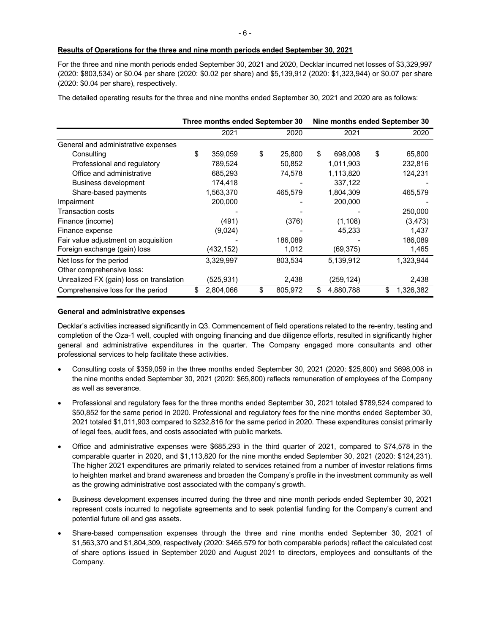For the three and nine month periods ended September 30, 2021 and 2020, Decklar incurred net losses of \$3,329,997 (2020: \$803,534) or \$0.04 per share (2020: \$0.02 per share) and \$5,139,912 (2020: \$1,323,944) or \$0.07 per share (2020: \$0.04 per share), respectively.

The detailed operating results for the three and nine months ended September 30, 2021 and 2020 are as follows:

|                                          | Three months ended September 30 |            |    | Nine months ended September 30 |    |            |    |           |
|------------------------------------------|---------------------------------|------------|----|--------------------------------|----|------------|----|-----------|
|                                          |                                 | 2021       |    | 2020                           |    | 2021       |    | 2020      |
| General and administrative expenses      |                                 |            |    |                                |    |            |    |           |
| Consulting                               | \$                              | 359,059    | \$ | 25,800                         | \$ | 698,008    | \$ | 65,800    |
| Professional and regulatory              |                                 | 789,524    |    | 50,852                         |    | 1,011,903  |    | 232,816   |
| Office and administrative                |                                 | 685,293    |    | 74,578                         |    | 1,113,820  |    | 124,231   |
| Business development                     |                                 | 174,418    |    |                                |    | 337,122    |    |           |
| Share-based payments                     |                                 | 1,563,370  |    | 465,579                        |    | 1,804,309  |    | 465,579   |
| Impairment                               |                                 | 200,000    |    |                                |    | 200,000    |    |           |
| <b>Transaction costs</b>                 |                                 |            |    |                                |    |            |    | 250,000   |
| Finance (income)                         |                                 | (491)      |    | (376)                          |    | (1, 108)   |    | (3, 473)  |
| Finance expense                          |                                 | (9,024)    |    |                                |    | 45,233     |    | 1,437     |
| Fair value adjustment on acquisition     |                                 |            |    | 186,089                        |    |            |    | 186,089   |
| Foreign exchange (gain) loss             |                                 | (432, 152) |    | 1,012                          |    | (69, 375)  |    | 1,465     |
| Net loss for the period                  |                                 | 3,329,997  |    | 803,534                        |    | 5,139,912  |    | 1,323,944 |
| Other comprehensive loss:                |                                 |            |    |                                |    |            |    |           |
| Unrealized FX (gain) loss on translation |                                 | (525,931)  |    | 2,438                          |    | (259, 124) |    | 2,438     |
| Comprehensive loss for the period        | \$                              | 2,804,066  | \$ | 805,972                        | \$ | 4.880.788  | \$ | 1,326,382 |

#### **General and administrative expenses**

Decklar's activities increased significantly in Q3. Commencement of field operations related to the re-entry, testing and completion of the Oza-1 well, coupled with ongoing financing and due diligence efforts, resulted in significantly higher general and administrative expenditures in the quarter. The Company engaged more consultants and other professional services to help facilitate these activities.

- Consulting costs of \$359,059 in the three months ended September 30, 2021 (2020: \$25,800) and \$698,008 in the nine months ended September 30, 2021 (2020: \$65,800) reflects remuneration of employees of the Company as well as severance.
- Professional and regulatory fees for the three months ended September 30, 2021 totaled \$789,524 compared to \$50,852 for the same period in 2020. Professional and regulatory fees for the nine months ended September 30, 2021 totaled \$1,011,903 compared to \$232,816 for the same period in 2020. These expenditures consist primarily of legal fees, audit fees, and costs associated with public markets.
- Office and administrative expenses were \$685,293 in the third quarter of 2021, compared to \$74,578 in the comparable quarter in 2020, and \$1,113,820 for the nine months ended September 30, 2021 (2020: \$124,231). The higher 2021 expenditures are primarily related to services retained from a number of investor relations firms to heighten market and brand awareness and broaden the Company's profile in the investment community as well as the growing administrative cost associated with the company's growth.
- Business development expenses incurred during the three and nine month periods ended September 30, 2021 represent costs incurred to negotiate agreements and to seek potential funding for the Company's current and potential future oil and gas assets.
- Share-based compensation expenses through the three and nine months ended September 30, 2021 of \$1,563,370 and \$1,804,309, respectively (2020: \$465,579 for both comparable periods) reflect the calculated cost of share options issued in September 2020 and August 2021 to directors, employees and consultants of the Company.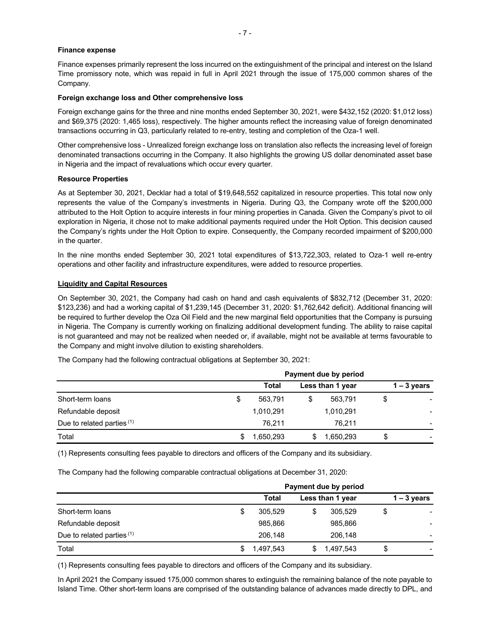#### **Finance expense**

Finance expenses primarily represent the loss incurred on the extinguishment of the principal and interest on the Island Time promissory note, which was repaid in full in April 2021 through the issue of 175,000 common shares of the Company.

#### **Foreign exchange loss and Other comprehensive loss**

Foreign exchange gains for the three and nine months ended September 30, 2021, were \$432,152 (2020: \$1,012 loss) and \$69,375 (2020: 1,465 loss), respectively. The higher amounts reflect the increasing value of foreign denominated transactions occurring in Q3, particularly related to re-entry, testing and completion of the Oza-1 well.

Other comprehensive loss - Unrealized foreign exchange loss on translation also reflects the increasing level of foreign denominated transactions occurring in the Company. It also highlights the growing US dollar denominated asset base in Nigeria and the impact of revaluations which occur every quarter.

#### **Resource Properties**

As at September 30, 2021, Decklar had a total of \$19,648,552 capitalized in resource properties. This total now only represents the value of the Company's investments in Nigeria. During Q3, the Company wrote off the \$200,000 attributed to the Holt Option to acquire interests in four mining properties in Canada. Given the Company's pivot to oil exploration in Nigeria, it chose not to make additional payments required under the Holt Option. This decision caused the Company's rights under the Holt Option to expire. Consequently, the Company recorded impairment of \$200,000 in the quarter.

In the nine months ended September 30, 2021 total expenditures of \$13,722,303, related to Oza-1 well re-entry operations and other facility and infrastructure expenditures, were added to resource properties.

### **Liquidity and Capital Resources**

On September 30, 2021, the Company had cash on hand and cash equivalents of \$832,712 (December 31, 2020: \$123,236) and had a working capital of \$1,239,145 (December 31, 2020: \$1,762,642 deficit). Additional financing will be required to further develop the Oza Oil Field and the new marginal field opportunities that the Company is pursuing in Nigeria. The Company is currently working on finalizing additional development funding. The ability to raise capital is not guaranteed and may not be realized when needed or, if available, might not be available at terms favourable to the Company and might involve dilution to existing shareholders.

|                            | Payment due by period |                  |           |    |               |  |  |
|----------------------------|-----------------------|------------------|-----------|----|---------------|--|--|
|                            | Total                 | Less than 1 year |           |    | $1 - 3$ years |  |  |
| Short-term loans           | \$<br>563.791         | \$               | 563.791   |    |               |  |  |
| Refundable deposit         | 1,010,291             |                  | 1,010,291 |    |               |  |  |
| Due to related parties (1) | 76.211                |                  | 76.211    |    |               |  |  |
| Total                      | 1,650,293             |                  | 1,650,293 | \$ |               |  |  |

The Company had the following contractual obligations at September 30, 2021:

(1) Represents consulting fees payable to directors and officers of the Company and its subsidiary.

The Company had the following comparable contractual obligations at December 31, 2020:

|                            | Payment due by period |  |                  |               |  |  |  |
|----------------------------|-----------------------|--|------------------|---------------|--|--|--|
|                            | Total                 |  | Less than 1 year | $1 - 3$ years |  |  |  |
| Short-term loans           | 305.529               |  | 305,529          |               |  |  |  |
| Refundable deposit         | 985,866               |  | 985,866          |               |  |  |  |
| Due to related parties (1) | 206.148               |  | 206.148          |               |  |  |  |
| Total                      | 1,497,543             |  | 1,497,543        | \$            |  |  |  |

(1) Represents consulting fees payable to directors and officers of the Company and its subsidiary.

In April 2021 the Company issued 175,000 common shares to extinguish the remaining balance of the note payable to Island Time. Other short-term loans are comprised of the outstanding balance of advances made directly to DPL, and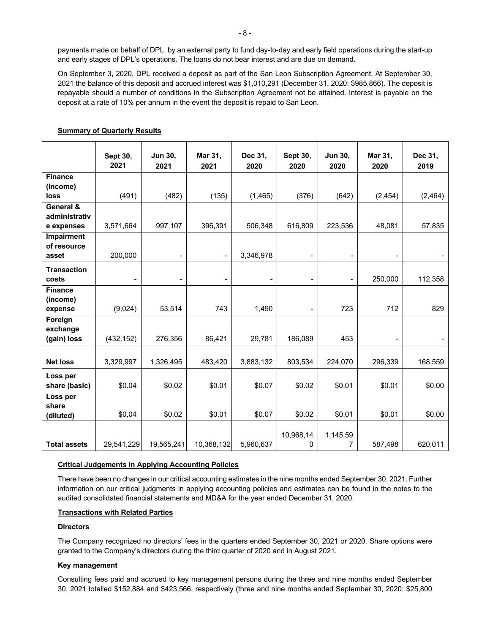payments made on behalf of DPL, by an external party to fund day-to-day and early field operations during the start-up and early stages of DPL's operations. The loans do not bear interest and are due on demand.

On September 3, 2020, DPL received a deposit as part of the San Leon Subscription Agreement. At September 30, 2021 the balance of this deposit and accrued interest was \$1,010,291 (December 31, 2020: \$985,866). The deposit is repayable should a number of conditions in the Subscription Agreement not be attained. Interest is payable on the deposit at a rate of 10% per annum in the event the deposit is repaid to San Leon.

|                     | Sept 30,<br>2021         | Jun 30,<br>2021          | Mar 31,<br>2021 | Dec 31,<br>2020          | Sept 30,<br>2020         | <b>Jun 30,</b><br>2020 | Mar 31,<br>2020              | Dec 31,<br>2019 |
|---------------------|--------------------------|--------------------------|-----------------|--------------------------|--------------------------|------------------------|------------------------------|-----------------|
| <b>Finance</b>      |                          |                          |                 |                          |                          |                        |                              |                 |
| (income)            |                          |                          |                 |                          |                          |                        |                              |                 |
| loss                | (491)                    | (482)                    | (135)           | (1, 465)                 | (376)                    | (642)                  | (2, 454)                     | (2, 464)        |
| General &           |                          |                          |                 |                          |                          |                        |                              |                 |
| administrativ       |                          |                          |                 |                          |                          |                        |                              |                 |
| e expenses          | 3,571,664                | 997,107                  | 396,391         | 506.348                  | 616,809                  | 223,536                | 48,081                       | 57,835          |
| <b>Impairment</b>   |                          |                          |                 |                          |                          |                        |                              |                 |
| of resource         |                          |                          |                 |                          |                          |                        |                              |                 |
| asset               | 200,000                  | $\blacksquare$           |                 | 3,346,978                |                          |                        | $\overline{\phantom{a}}$     |                 |
| <b>Transaction</b>  |                          |                          |                 |                          |                          |                        |                              |                 |
| costs               | $\overline{\phantom{a}}$ | $\overline{\phantom{a}}$ |                 | $\overline{\phantom{a}}$ | $\overline{\phantom{a}}$ | $\overline{a}$         | 250,000                      | 112,358         |
| <b>Finance</b>      |                          |                          |                 |                          |                          |                        |                              |                 |
| (income)            |                          |                          |                 |                          |                          |                        |                              |                 |
| expense             | (9,024)                  | 53,514                   | 743             | 1,490                    | $\overline{\phantom{a}}$ | 723                    | 712                          | 829             |
| Foreign             |                          |                          |                 |                          |                          |                        |                              |                 |
| exchange            |                          |                          |                 |                          |                          |                        |                              |                 |
| (gain) loss         | (432, 152)               | 276,356                  | 86,421          | 29,781                   | 186,089                  | 453                    | $\qquad \qquad \blacksquare$ |                 |
|                     |                          |                          |                 |                          |                          |                        |                              |                 |
| <b>Net loss</b>     | 3,329,997                | 1,326,495                | 483,420         | 3,883,132                | 803,534                  | 224,070                | 296,339                      | 168,559         |
| Loss per            |                          |                          |                 |                          |                          |                        |                              |                 |
| share (basic)       | \$0.04                   | \$0.02                   | \$0.01          | \$0.07                   | \$0.02                   | \$0.01                 | \$0.01                       | \$0.00          |
| Loss per            |                          |                          |                 |                          |                          |                        |                              |                 |
| share               |                          |                          |                 |                          |                          |                        |                              |                 |
| (diluted)           | \$0,04                   | \$0.02                   | \$0.01          | \$0.07                   | \$0.02                   | \$0.01                 | \$0.01                       | \$0.00          |
|                     |                          |                          |                 |                          |                          |                        |                              |                 |
|                     |                          |                          |                 |                          | 10,968,14                | 1,145,59               |                              |                 |
| <b>Total assets</b> | 29,541,229               | 19,565,241               | 10,368,132      | 5,960,637                | 0                        | 7                      | 587,498                      | 620,011         |

# **Summary of Quarterly Results**

# **Critical Judgements in Applying Accounting Policies**

There have been no changes in our critical accounting estimates in the nine months ended September 30, 2021. Further information on our critical judgments in applying accounting policies and estimates can be found in the notes to the audited consolidated financial statements and MD&A for the year ended December 31, 2020.

# **Transactions with Related Parties**

# **Directors**

The Company recognized no directors' fees in the quarters ended September 30, 2021 or 2020. Share options were granted to the Company's directors during the third quarter of 2020 and in August 2021.

#### **Key management**

Consulting fees paid and accrued to key management persons during the three and nine months ended September 30, 2021 totalled \$152,884 and \$423,566, respectively (three and nine months ended September 30, 2020: \$25,800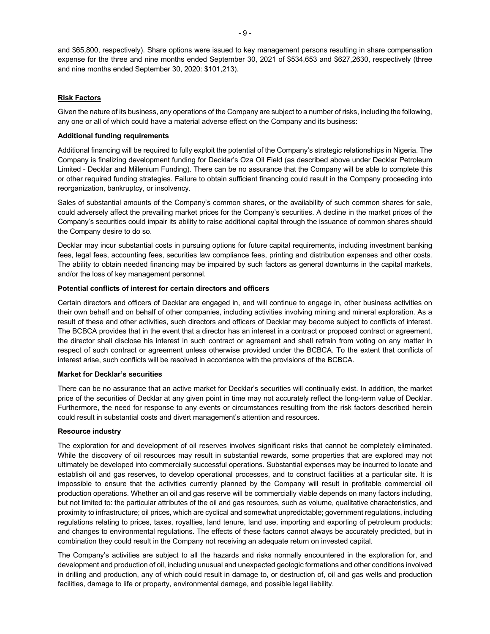and \$65,800, respectively). Share options were issued to key management persons resulting in share compensation expense for the three and nine months ended September 30, 2021 of \$534,653 and \$627,2630, respectively (three and nine months ended September 30, 2020: \$101,213).

# **Risk Factors**

Given the nature of its business, any operations of the Company are subject to a number of risks, including the following, any one or all of which could have a material adverse effect on the Company and its business:

### **Additional funding requirements**

Additional financing will be required to fully exploit the potential of the Company's strategic relationships in Nigeria. The Company is finalizing development funding for Decklar's Oza Oil Field (as described above under Decklar Petroleum Limited - Decklar and Millenium Funding). There can be no assurance that the Company will be able to complete this or other required funding strategies. Failure to obtain sufficient financing could result in the Company proceeding into reorganization, bankruptcy, or insolvency.

Sales of substantial amounts of the Company's common shares, or the availability of such common shares for sale, could adversely affect the prevailing market prices for the Company's securities. A decline in the market prices of the Company's securities could impair its ability to raise additional capital through the issuance of common shares should the Company desire to do so.

Decklar may incur substantial costs in pursuing options for future capital requirements, including investment banking fees, legal fees, accounting fees, securities law compliance fees, printing and distribution expenses and other costs. The ability to obtain needed financing may be impaired by such factors as general downturns in the capital markets, and/or the loss of key management personnel.

# **Potential conflicts of interest for certain directors and officers**

Certain directors and officers of Decklar are engaged in, and will continue to engage in, other business activities on their own behalf and on behalf of other companies, including activities involving mining and mineral exploration. As a result of these and other activities, such directors and officers of Decklar may become subject to conflicts of interest. The BCBCA provides that in the event that a director has an interest in a contract or proposed contract or agreement, the director shall disclose his interest in such contract or agreement and shall refrain from voting on any matter in respect of such contract or agreement unless otherwise provided under the BCBCA. To the extent that conflicts of interest arise, such conflicts will be resolved in accordance with the provisions of the BCBCA.

# **Market for Decklar's securities**

There can be no assurance that an active market for Decklar's securities will continually exist. In addition, the market price of the securities of Decklar at any given point in time may not accurately reflect the long-term value of Decklar. Furthermore, the need for response to any events or circumstances resulting from the risk factors described herein could result in substantial costs and divert management's attention and resources.

#### **Resource industry**

The exploration for and development of oil reserves involves significant risks that cannot be completely eliminated. While the discovery of oil resources may result in substantial rewards, some properties that are explored may not ultimately be developed into commercially successful operations. Substantial expenses may be incurred to locate and establish oil and gas reserves, to develop operational processes, and to construct facilities at a particular site. It is impossible to ensure that the activities currently planned by the Company will result in profitable commercial oil production operations. Whether an oil and gas reserve will be commercially viable depends on many factors including, but not limited to: the particular attributes of the oil and gas resources, such as volume, qualitative characteristics, and proximity to infrastructure; oil prices, which are cyclical and somewhat unpredictable; government regulations, including regulations relating to prices, taxes, royalties, land tenure, land use, importing and exporting of petroleum products; and changes to environmental regulations. The effects of these factors cannot always be accurately predicted, but in combination they could result in the Company not receiving an adequate return on invested capital.

The Company's activities are subject to all the hazards and risks normally encountered in the exploration for, and development and production of oil, including unusual and unexpected geologic formations and other conditions involved in drilling and production, any of which could result in damage to, or destruction of, oil and gas wells and production facilities, damage to life or property, environmental damage, and possible legal liability.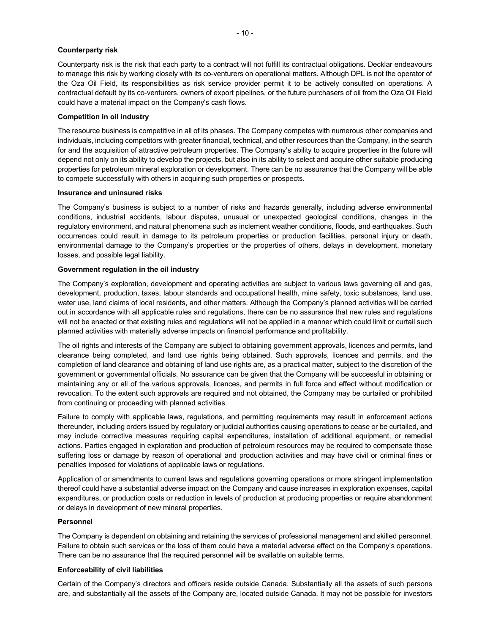#### **Counterparty risk**

Counterparty risk is the risk that each party to a contract will not fulfill its contractual obligations. Decklar endeavours to manage this risk by working closely with its co-venturers on operational matters. Although DPL is not the operator of the Oza Oil Field, its responsibilities as risk service provider permit it to be actively consulted on operations. A contractual default by its co-venturers, owners of export pipelines, or the future purchasers of oil from the Oza Oil Field could have a material impact on the Company's cash flows.

### **Competition in oil industry**

The resource business is competitive in all of its phases. The Company competes with numerous other companies and individuals, including competitors with greater financial, technical, and other resources than the Company, in the search for and the acquisition of attractive petroleum properties. The Company's ability to acquire properties in the future will depend not only on its ability to develop the projects, but also in its ability to select and acquire other suitable producing properties for petroleum mineral exploration or development. There can be no assurance that the Company will be able to compete successfully with others in acquiring such properties or prospects.

# **Insurance and uninsured risks**

The Company's business is subject to a number of risks and hazards generally, including adverse environmental conditions, industrial accidents, labour disputes, unusual or unexpected geological conditions, changes in the regulatory environment, and natural phenomena such as inclement weather conditions, floods, and earthquakes. Such occurrences could result in damage to its petroleum properties or production facilities, personal injury or death, environmental damage to the Company's properties or the properties of others, delays in development, monetary losses, and possible legal liability.

### **Government regulation in the oil industry**

The Company's exploration, development and operating activities are subject to various laws governing oil and gas, development, production, taxes, labour standards and occupational health, mine safety, toxic substances, land use, water use, land claims of local residents, and other matters. Although the Company's planned activities will be carried out in accordance with all applicable rules and regulations, there can be no assurance that new rules and regulations will not be enacted or that existing rules and regulations will not be applied in a manner which could limit or curtail such planned activities with materially adverse impacts on financial performance and profitability.

The oil rights and interests of the Company are subject to obtaining government approvals, licences and permits, land clearance being completed, and land use rights being obtained. Such approvals, licences and permits, and the completion of land clearance and obtaining of land use rights are, as a practical matter, subject to the discretion of the government or governmental officials. No assurance can be given that the Company will be successful in obtaining or maintaining any or all of the various approvals, licences, and permits in full force and effect without modification or revocation. To the extent such approvals are required and not obtained, the Company may be curtailed or prohibited from continuing or proceeding with planned activities.

Failure to comply with applicable laws, regulations, and permitting requirements may result in enforcement actions thereunder, including orders issued by regulatory or judicial authorities causing operations to cease or be curtailed, and may include corrective measures requiring capital expenditures, installation of additional equipment, or remedial actions. Parties engaged in exploration and production of petroleum resources may be required to compensate those suffering loss or damage by reason of operational and production activities and may have civil or criminal fines or penalties imposed for violations of applicable laws or regulations.

Application of or amendments to current laws and regulations governing operations or more stringent implementation thereof could have a substantial adverse impact on the Company and cause increases in exploration expenses, capital expenditures, or production costs or reduction in levels of production at producing properties or require abandonment or delays in development of new mineral properties.

#### **Personnel**

The Company is dependent on obtaining and retaining the services of professional management and skilled personnel. Failure to obtain such services or the loss of them could have a material adverse effect on the Company's operations. There can be no assurance that the required personnel will be available on suitable terms.

#### **Enforceability of civil liabilities**

Certain of the Company's directors and officers reside outside Canada. Substantially all the assets of such persons are, and substantially all the assets of the Company are, located outside Canada. It may not be possible for investors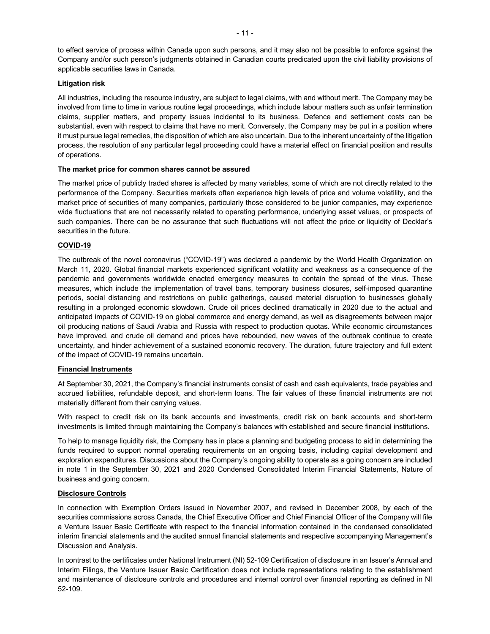to effect service of process within Canada upon such persons, and it may also not be possible to enforce against the Company and/or such person's judgments obtained in Canadian courts predicated upon the civil liability provisions of applicable securities laws in Canada.

# **Litigation risk**

All industries, including the resource industry, are subject to legal claims, with and without merit. The Company may be involved from time to time in various routine legal proceedings, which include labour matters such as unfair termination claims, supplier matters, and property issues incidental to its business. Defence and settlement costs can be substantial, even with respect to claims that have no merit. Conversely, the Company may be put in a position where it must pursue legal remedies, the disposition of which are also uncertain. Due to the inherent uncertainty of the litigation process, the resolution of any particular legal proceeding could have a material effect on financial position and results of operations.

# **The market price for common shares cannot be assured**

The market price of publicly traded shares is affected by many variables, some of which are not directly related to the performance of the Company. Securities markets often experience high levels of price and volume volatility, and the market price of securities of many companies, particularly those considered to be junior companies, may experience wide fluctuations that are not necessarily related to operating performance, underlying asset values, or prospects of such companies. There can be no assurance that such fluctuations will not affect the price or liquidity of Decklar's securities in the future.

# **COVID-19**

The outbreak of the novel coronavirus ("COVID-19") was declared a pandemic by the World Health Organization on March 11, 2020. Global financial markets experienced significant volatility and weakness as a consequence of the pandemic and governments worldwide enacted emergency measures to contain the spread of the virus. These measures, which include the implementation of travel bans, temporary business closures, self-imposed quarantine periods, social distancing and restrictions on public gatherings, caused material disruption to businesses globally resulting in a prolonged economic slowdown. Crude oil prices declined dramatically in 2020 due to the actual and anticipated impacts of COVID-19 on global commerce and energy demand, as well as disagreements between major oil producing nations of Saudi Arabia and Russia with respect to production quotas. While economic circumstances have improved, and crude oil demand and prices have rebounded, new waves of the outbreak continue to create uncertainty, and hinder achievement of a sustained economic recovery. The duration, future trajectory and full extent of the impact of COVID-19 remains uncertain.

# **Financial Instruments**

At September 30, 2021, the Company's financial instruments consist of cash and cash equivalents, trade payables and accrued liabilities, refundable deposit, and short-term loans. The fair values of these financial instruments are not materially different from their carrying values.

With respect to credit risk on its bank accounts and investments, credit risk on bank accounts and short-term investments is limited through maintaining the Company's balances with established and secure financial institutions.

To help to manage liquidity risk, the Company has in place a planning and budgeting process to aid in determining the funds required to support normal operating requirements on an ongoing basis, including capital development and exploration expenditures. Discussions about the Company's ongoing ability to operate as a going concern are included in note 1 in the September 30, 2021 and 2020 Condensed Consolidated Interim Financial Statements, Nature of business and going concern.

# **Disclosure Controls**

In connection with Exemption Orders issued in November 2007, and revised in December 2008, by each of the securities commissions across Canada, the Chief Executive Officer and Chief Financial Officer of the Company will file a Venture Issuer Basic Certificate with respect to the financial information contained in the condensed consolidated interim financial statements and the audited annual financial statements and respective accompanying Management's Discussion and Analysis.

In contrast to the certificates under National Instrument (NI) 52-109 Certification of disclosure in an Issuer's Annual and Interim Filings, the Venture Issuer Basic Certification does not include representations relating to the establishment and maintenance of disclosure controls and procedures and internal control over financial reporting as defined in NI 52-109.